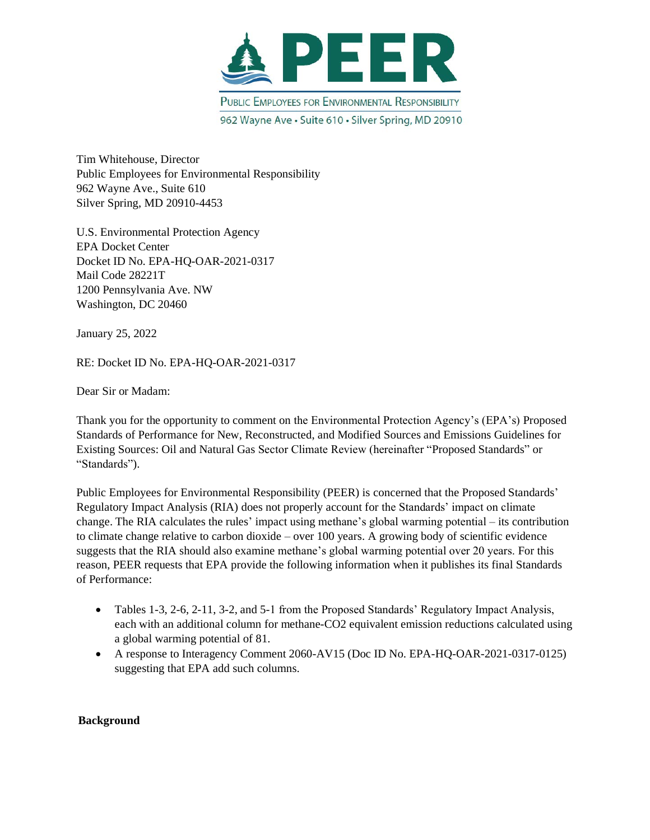

Tim Whitehouse, Director Public Employees for Environmental Responsibility 962 Wayne Ave., Suite 610 Silver Spring, MD 20910-4453

U.S. Environmental Protection Agency EPA Docket Center Docket ID No. EPA-HQ-OAR-2021-0317 Mail Code 28221T 1200 Pennsylvania Ave. NW Washington, DC 20460

January 25, 2022

RE: Docket ID No. EPA-HQ-OAR-2021-0317

Dear Sir or Madam:

Thank you for the opportunity to comment on the Environmental Protection Agency's (EPA's) Proposed Standards of Performance for New, Reconstructed, and Modified Sources and Emissions Guidelines for Existing Sources: Oil and Natural Gas Sector Climate Review (hereinafter "Proposed Standards" or "Standards").

Public Employees for Environmental Responsibility (PEER) is concerned that the Proposed Standards' Regulatory Impact Analysis (RIA) does not properly account for the Standards' impact on climate change. The RIA calculates the rules' impact using methane's global warming potential – its contribution to climate change relative to carbon dioxide – over 100 years. A growing body of scientific evidence suggests that the RIA should also examine methane's global warming potential over 20 years. For this reason, PEER requests that EPA provide the following information when it publishes its final Standards of Performance:

- Tables 1-3, 2-6, 2-11, 3-2, and 5-1 from the Proposed Standards' Regulatory Impact Analysis, each with an additional column for methane-CO2 equivalent emission reductions calculated using a global warming potential of 81.
- A response to Interagency Comment 2060-AV15 (Doc ID No. EPA-HQ-OAR-2021-0317-0125) suggesting that EPA add such columns.

## **Background**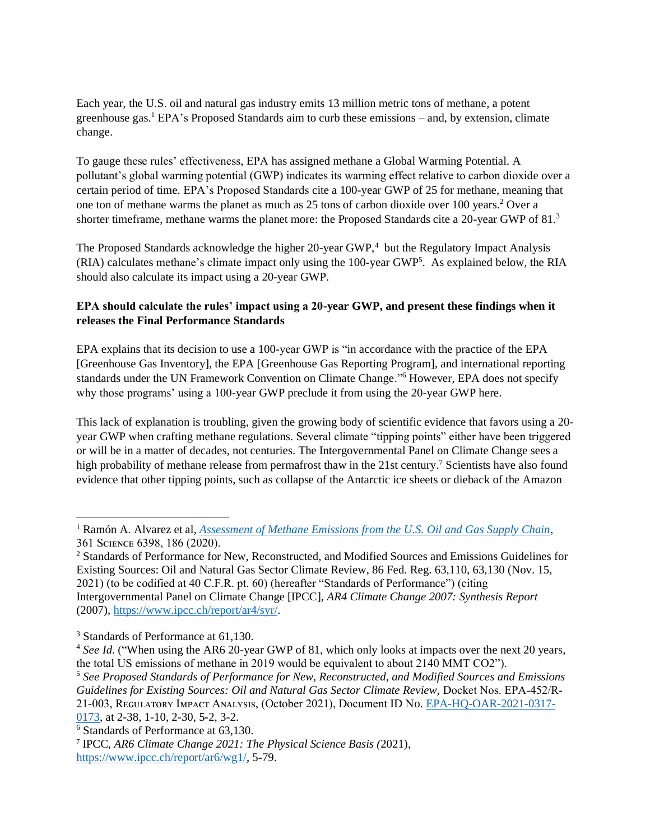Each year, the U.S. oil and natural gas industry emits 13 million metric tons of methane, a potent greenhouse gas.<sup>1</sup> EPA's Proposed Standards aim to curb these emissions – and, by extension, climate change.

To gauge these rules' effectiveness, EPA has assigned methane a Global Warming Potential. A pollutant's global warming potential (GWP) indicates its warming effect relative to carbon dioxide over a certain period of time. EPA's Proposed Standards cite a 100-year GWP of 25 for methane, meaning that one ton of methane warms the planet as much as 25 tons of carbon dioxide over 100 years.<sup>2</sup> Over a shorter timeframe, methane warms the planet more: the Proposed Standards cite a 20-year GWP of 81.<sup>3</sup>

The Proposed Standards acknowledge the higher 20-year GWP,<sup>4</sup> but the Regulatory Impact Analysis (RIA) calculates methane's climate impact only using the 100-year GWP<sup>5</sup>. As explained below, the RIA should also calculate its impact using a 20-year GWP.

## **EPA should calculate the rules' impact using a 20-year GWP, and present these findings when it releases the Final Performance Standards**

EPA explains that its decision to use a 100-year GWP is "in accordance with the practice of the EPA [Greenhouse Gas Inventory], the EPA [Greenhouse Gas Reporting Program], and international reporting standards under the UN Framework Convention on Climate Change."<sup>6</sup> However, EPA does not specify why those programs' using a 100-year GWP preclude it from using the 20-year GWP here.

This lack of explanation is troubling, given the growing body of scientific evidence that favors using a 20 year GWP when crafting methane regulations. Several climate "tipping points" either have been triggered or will be in a matter of decades, not centuries. The Intergovernmental Panel on Climate Change sees a high probability of methane release from permafrost thaw in the 21st century.<sup>7</sup> Scientists have also found evidence that other tipping points, such as collapse of the Antarctic ice sheets or dieback of the Amazon

<sup>1</sup> Ramón A. Alvarez et al, *[Assessment of Methane Emissions from the U.S. Oil and Gas Supply Chain](https://www.science.org/doi/full/10.1126/science.aar7204)*, 361 SCIENCE 6398, 186 (2020).

<sup>&</sup>lt;sup>2</sup> Standards of Performance for New, Reconstructed, and Modified Sources and Emissions Guidelines for Existing Sources: Oil and Natural Gas Sector Climate Review, 86 Fed. Reg. 63,110, 63,130 (Nov. 15, 2021) (to be codified at 40 C.F.R. pt. 60) (hereafter "Standards of Performance") (citing Intergovernmental Panel on Climate Change [IPCC], *AR4 Climate Change 2007: Synthesis Report*  (2007), [https://www.ipcc.ch/report/ar4/syr/.](https://www.ipcc.ch/report/ar4/syr/)

<sup>&</sup>lt;sup>3</sup> Standards of Performance at 61,130.

<sup>&</sup>lt;sup>4</sup> See Id. ("When using the AR6 20-year GWP of 81, which only looks at impacts over the next 20 years, the total US emissions of methane in 2019 would be equivalent to about 2140 MMT CO2").

<sup>5</sup> *See Proposed Standards of Performance for New, Reconstructed, and Modified Sources and Emissions Guidelines for Existing Sources: Oil and Natural Gas Sector Climate Review,* Docket Nos. EPA-452/R-21-003, REGULATORY IMPACT ANALYSIS, (October 2021), Document ID No. [EPA-HQ-OAR-2021-0317-](https://www.regulations.gov/document/EPA-HQ-OAR-2021-0317-0173) [0173,](https://www.regulations.gov/document/EPA-HQ-OAR-2021-0317-0173) at 2-38, 1-10, 2-30, 5-2, 3-2.

<sup>6</sup> Standards of Performance at 63,130.

<sup>7</sup> IPCC, *AR6 Climate Change 2021: The Physical Science Basis (*2021), [https://www.ipcc.ch/report/ar6/wg1/,](https://www.ipcc.ch/report/ar6/wg1/) 5-79.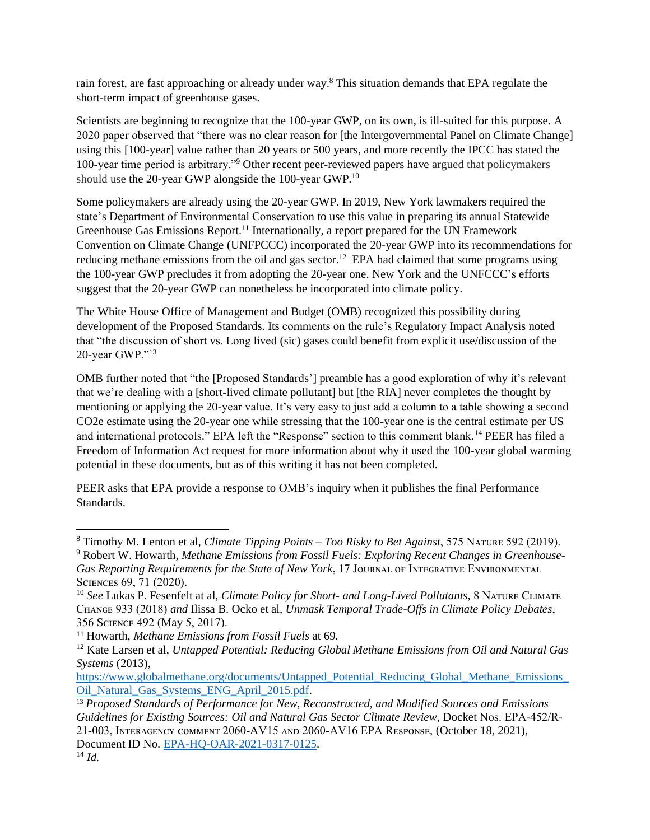rain forest, are fast approaching or already under way.<sup>8</sup> This situation demands that EPA regulate the short-term impact of greenhouse gases.

Scientists are beginning to recognize that the 100-year GWP, on its own, is ill-suited for this purpose. A 2020 paper observed that "there was no clear reason for [the Intergovernmental Panel on Climate Change] using this [100-year] value rather than 20 years or 500 years, and more recently the IPCC has stated the 100-year time period is arbitrary."<sup>9</sup> Other recent peer-reviewed papers have argued that policymakers should use the 20-year GWP alongside the 100-year GWP.<sup>10</sup>

Some policymakers are already using the 20-year GWP. In 2019, New York lawmakers required the state's Department of Environmental Conservation to use this value in preparing its annual Statewide Greenhouse Gas Emissions Report.<sup>11</sup> Internationally, a report prepared for the UN Framework Convention on Climate Change (UNFPCCC) incorporated the 20-year GWP into its recommendations for reducing methane emissions from the oil and gas sector.<sup>12</sup> EPA had claimed that some programs using the 100-year GWP precludes it from adopting the 20-year one. New York and the UNFCCC's efforts suggest that the 20-year GWP can nonetheless be incorporated into climate policy.

The White House Office of Management and Budget (OMB) recognized this possibility during development of the Proposed Standards. Its comments on the rule's Regulatory Impact Analysis noted that "the discussion of short vs. Long lived (sic) gases could benefit from explicit use/discussion of the 20-year GWP."<sup>13</sup>

OMB further noted that "the [Proposed Standards'] preamble has a good exploration of why it's relevant that we're dealing with a [short-lived climate pollutant] but [the RIA] never completes the thought by mentioning or applying the 20-year value. It's very easy to just add a column to a table showing a second CO2e estimate using the 20-year one while stressing that the 100-year one is the central estimate per US and international protocols." EPA left the "Response" section to this comment blank.<sup>14</sup> PEER has filed a Freedom of Information Act request for more information about why it used the 100-year global warming potential in these documents, but as of this writing it has not been completed.

PEER asks that EPA provide a response to OMB's inquiry when it publishes the final Performance Standards.

<sup>&</sup>lt;sup>8</sup> Timothy M. Lenton et al, *Climate Tipping Points – Too Risky to Bet Against*, 575 NATURE 592 (2019).

<sup>9</sup> Robert W. Howarth, *Methane Emissions from Fossil Fuels: Exploring Recent Changes in Greenhouse-*Gas Reporting Requirements for the State of New York, 17 JOURNAL OF INTEGRATIVE ENVIRONMENTAL SCIENCES 69, 71 (2020).

<sup>&</sup>lt;sup>10</sup> See Lukas P. Fesenfelt at al, *Climate Policy for Short- and Long-Lived Pollutants*, 8 NATURE CLIMATE Cʜᴀɴɢᴇ 933 (2018) *and* Ilissa B. Ocko et al, *Unmask Temporal Trade-Offs in Climate Policy Debates*, 356 SCIENCE 492 (May 5, 2017).

<sup>11</sup> Howarth, *Methane Emissions from Fossil Fuels* at 69*.* 

<sup>12</sup> Kate Larsen et al, *Untapped Potential: Reducing Global Methane Emissions from Oil and Natural Gas Systems* (2013),

[https://www.globalmethane.org/documents/Untapped\\_Potential\\_Reducing\\_Global\\_Methane\\_Emissions\\_](https://www.globalmethane.org/documents/Untapped_Potential_Reducing_Global_Methane_Emissions_Oil_Natural_Gas_Systems_ENG_April_2015.pdf) [Oil\\_Natural\\_Gas\\_Systems\\_ENG\\_April\\_2015.pdf.](https://www.globalmethane.org/documents/Untapped_Potential_Reducing_Global_Methane_Emissions_Oil_Natural_Gas_Systems_ENG_April_2015.pdf)

<sup>13</sup> *Proposed Standards of Performance for New, Reconstructed, and Modified Sources and Emissions Guidelines for Existing Sources: Oil and Natural Gas Sector Climate Review,* Docket Nos. EPA-452/R-21-003, Iɴᴛᴇʀᴀɢᴇɴᴄʏ ᴄᴏᴍᴍᴇɴᴛ 2060-AV15 ᴀɴᴅ 2060-AV16 EPA Rᴇsᴘᴏɴsᴇ, (October 18, 2021), Document ID No. [EPA-HQ-OAR-2021-0317-0125.](https://www.regulations.gov/document/EPA-HQ-OAR-2021-0317-0125) <sup>14</sup> *Id.*